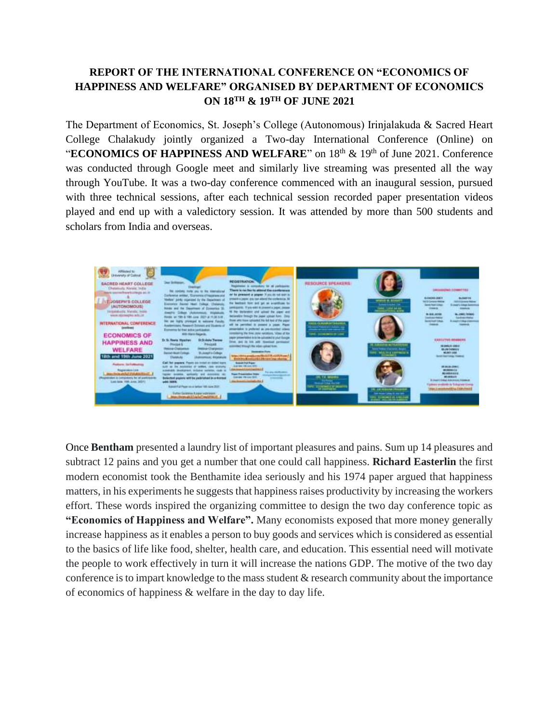## **REPORT OF THE INTERNATIONAL CONFERENCE ON "ECONOMICS OF HAPPINESS AND WELFARE" ORGANISED BY DEPARTMENT OF ECONOMICS ON 18 TH & 19TH OF JUNE 2021**

The Department of Economics, St. Joseph's College (Autonomous) Irinjalakuda & Sacred Heart College Chalakudy jointly organized a Two-day International Conference (Online) on "**ECONOMICS OF HAPPINESS AND WELFARE**" on 18<sup>th</sup> & 19<sup>th</sup> of June 2021. Conference was conducted through Google meet and similarly live streaming was presented all the way through YouTube. It was a two-day conference commenced with an inaugural session, pursued with three technical sessions, after each technical session recorded paper presentation videos played and end up with a valedictory session. It was attended by more than 500 students and scholars from India and overseas.



Once **Bentham** presented a laundry list of important pleasures and pains. Sum up 14 pleasures and subtract 12 pains and you get a number that one could call happiness. **Richard Easterlin** the first modern economist took the Benthamite idea seriously and his 1974 paper argued that happiness matters, in his experiments he suggests that happiness raises productivity by increasing the workers effort. These words inspired the organizing committee to design the two day conference topic as **"Economics of Happiness and Welfare".** Many economists exposed that more money generally increase happiness as it enables a person to buy goods and services which is considered as essential to the basics of life like food, shelter, health care, and education. This essential need will motivate the people to work effectively in turn it will increase the nations GDP. The motive of the two day conference is to impart knowledge to the mass student & research community about the importance of economics of happiness & welfare in the day to day life.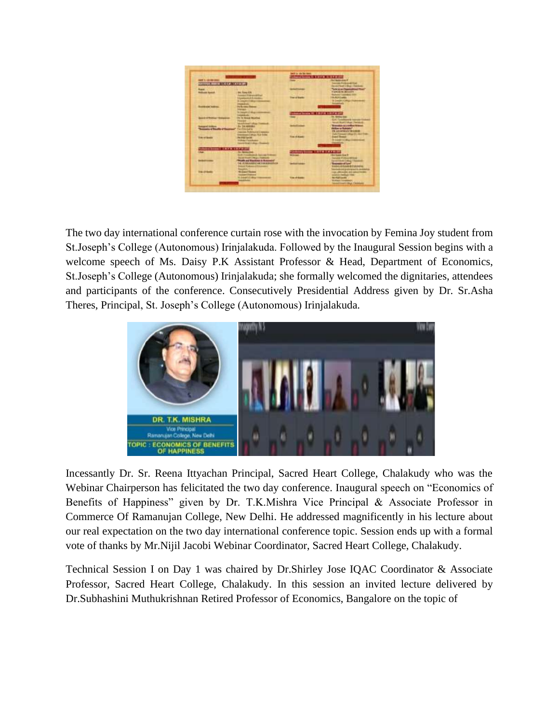| <b>MEET US RESIN</b><br><b>The Chapters along \$1</b><br><b>Links</b><br><b>Concert For Brown of The St.</b><br>THE R. P. LEWIS CO., LANSING, MICH.<br>Think is no illustration of<br><b>Anderson</b><br><b>House</b><br><b>CARDIO M. MAINERS</b><br><b>Industry Avenue</b><br><b>Big Road EN</b><br><b>Subject Contract</b><br><b>ENALT-Control</b><br><b><i><u>Instrument &amp; Lineaux</u></i></b><br><b>Team of Garden</b><br><b>SHOP</b><br><b>R. Design Licence</b><br><b><i><u><u><b>The Adolf</b></u> Terms</u></i></b><br><b><i><u>Standard Andree</u></i></b><br><b>Haraka</b><br>to insure of the<br>Triamplianma III. LAIF-N LAFFA (IT)<br><b><i><u>Statistics Controller</u></i></b><br><b>In Section Corp.</b><br><b>Bank of Bridged Historican</b><br>In it feed to the<br>Col. Continued Agrees (Advant)<br>North Photo Step (Amato)<br><b>Vienport</b><br><b>Wind I had I shop</b><br><b>Manager by a well as Night</b><br><b><i>Co. 1-A HANNAH</i></b><br><b>Chevrolet of Section</b><br><b>Andrew Gallery</b><br>and the Art States<br>IN LANGUAGE TRAINING<br>models Pedelson e Coreano<br>Lake Freeman's Library 18 L Elect<br>Incomediately disposition \$3000.<br><b><i><u>Grand Thomas </u></i></b><br><b><i><u>Grand Andrew Adam</u></i></b><br><b>Buildings Scotland</b><br><b>THE STRAKE</b><br><b><i><u>Statement Australian</u></i></b><br><b>Killed Falankass</b><br>Institute Color: Downer<br><b>Intelligible Economic Lister III &amp; Chef In Girl</b><br>educes from 1978 197919<br><b>Exchange Code</b><br><b>ELECTRONICAL SAVING TORONT</b><br><b>Britannika b</b><br><b>Scient Frank Children</b> Child<br><b>Sender Printer Corp.</b><br><b>To be used it is particular to a discriment</b><br>---<br><b>A PERMIT IN TRAINING</b><br><b>Treasures of Land</b><br><b>Andrew Comment</b><br><b>KASA LIBIRAAR/BY MAARINA</b><br><b><i><u>Delivery</u> Mind and Address</i></b><br><b>Development &amp; Engineering producing</b><br><b>Included</b><br>These additionality, and automotivement<br><b>Grand Thomas</b><br><b>Abdullation</b><br>amento forelage 14.60 -<br>Lingtic day --<br><b>No multipado</b><br><b>Total of History</b><br><b>Branch Friendlings</b> |  |  | <b>DAY A 28 MAINEE</b>                                  |                                 |
|-------------------------------------------------------------------------------------------------------------------------------------------------------------------------------------------------------------------------------------------------------------------------------------------------------------------------------------------------------------------------------------------------------------------------------------------------------------------------------------------------------------------------------------------------------------------------------------------------------------------------------------------------------------------------------------------------------------------------------------------------------------------------------------------------------------------------------------------------------------------------------------------------------------------------------------------------------------------------------------------------------------------------------------------------------------------------------------------------------------------------------------------------------------------------------------------------------------------------------------------------------------------------------------------------------------------------------------------------------------------------------------------------------------------------------------------------------------------------------------------------------------------------------------------------------------------------------------------------------------------------------------------------------------------------------------------------------------------------------------------------------------------------------------------------------------------------------------------------------------------------------------------------------------------------------------------------------------------------------------------------------------------------------------------------------------------------------------------------------------------------------------------------------------------------------------------------------------|--|--|---------------------------------------------------------|---------------------------------|
|                                                                                                                                                                                                                                                                                                                                                                                                                                                                                                                                                                                                                                                                                                                                                                                                                                                                                                                                                                                                                                                                                                                                                                                                                                                                                                                                                                                                                                                                                                                                                                                                                                                                                                                                                                                                                                                                                                                                                                                                                                                                                                                                                                                                             |  |  | Three party is a second line of the U.S. of the U.S. C. |                                 |
|                                                                                                                                                                                                                                                                                                                                                                                                                                                                                                                                                                                                                                                                                                                                                                                                                                                                                                                                                                                                                                                                                                                                                                                                                                                                                                                                                                                                                                                                                                                                                                                                                                                                                                                                                                                                                                                                                                                                                                                                                                                                                                                                                                                                             |  |  |                                                         |                                 |
|                                                                                                                                                                                                                                                                                                                                                                                                                                                                                                                                                                                                                                                                                                                                                                                                                                                                                                                                                                                                                                                                                                                                                                                                                                                                                                                                                                                                                                                                                                                                                                                                                                                                                                                                                                                                                                                                                                                                                                                                                                                                                                                                                                                                             |  |  |                                                         |                                 |
|                                                                                                                                                                                                                                                                                                                                                                                                                                                                                                                                                                                                                                                                                                                                                                                                                                                                                                                                                                                                                                                                                                                                                                                                                                                                                                                                                                                                                                                                                                                                                                                                                                                                                                                                                                                                                                                                                                                                                                                                                                                                                                                                                                                                             |  |  |                                                         |                                 |
|                                                                                                                                                                                                                                                                                                                                                                                                                                                                                                                                                                                                                                                                                                                                                                                                                                                                                                                                                                                                                                                                                                                                                                                                                                                                                                                                                                                                                                                                                                                                                                                                                                                                                                                                                                                                                                                                                                                                                                                                                                                                                                                                                                                                             |  |  |                                                         |                                 |
|                                                                                                                                                                                                                                                                                                                                                                                                                                                                                                                                                                                                                                                                                                                                                                                                                                                                                                                                                                                                                                                                                                                                                                                                                                                                                                                                                                                                                                                                                                                                                                                                                                                                                                                                                                                                                                                                                                                                                                                                                                                                                                                                                                                                             |  |  |                                                         |                                 |
|                                                                                                                                                                                                                                                                                                                                                                                                                                                                                                                                                                                                                                                                                                                                                                                                                                                                                                                                                                                                                                                                                                                                                                                                                                                                                                                                                                                                                                                                                                                                                                                                                                                                                                                                                                                                                                                                                                                                                                                                                                                                                                                                                                                                             |  |  |                                                         |                                 |
|                                                                                                                                                                                                                                                                                                                                                                                                                                                                                                                                                                                                                                                                                                                                                                                                                                                                                                                                                                                                                                                                                                                                                                                                                                                                                                                                                                                                                                                                                                                                                                                                                                                                                                                                                                                                                                                                                                                                                                                                                                                                                                                                                                                                             |  |  |                                                         |                                 |
|                                                                                                                                                                                                                                                                                                                                                                                                                                                                                                                                                                                                                                                                                                                                                                                                                                                                                                                                                                                                                                                                                                                                                                                                                                                                                                                                                                                                                                                                                                                                                                                                                                                                                                                                                                                                                                                                                                                                                                                                                                                                                                                                                                                                             |  |  |                                                         |                                 |
|                                                                                                                                                                                                                                                                                                                                                                                                                                                                                                                                                                                                                                                                                                                                                                                                                                                                                                                                                                                                                                                                                                                                                                                                                                                                                                                                                                                                                                                                                                                                                                                                                                                                                                                                                                                                                                                                                                                                                                                                                                                                                                                                                                                                             |  |  |                                                         |                                 |
|                                                                                                                                                                                                                                                                                                                                                                                                                                                                                                                                                                                                                                                                                                                                                                                                                                                                                                                                                                                                                                                                                                                                                                                                                                                                                                                                                                                                                                                                                                                                                                                                                                                                                                                                                                                                                                                                                                                                                                                                                                                                                                                                                                                                             |  |  |                                                         |                                 |
|                                                                                                                                                                                                                                                                                                                                                                                                                                                                                                                                                                                                                                                                                                                                                                                                                                                                                                                                                                                                                                                                                                                                                                                                                                                                                                                                                                                                                                                                                                                                                                                                                                                                                                                                                                                                                                                                                                                                                                                                                                                                                                                                                                                                             |  |  |                                                         |                                 |
|                                                                                                                                                                                                                                                                                                                                                                                                                                                                                                                                                                                                                                                                                                                                                                                                                                                                                                                                                                                                                                                                                                                                                                                                                                                                                                                                                                                                                                                                                                                                                                                                                                                                                                                                                                                                                                                                                                                                                                                                                                                                                                                                                                                                             |  |  |                                                         |                                 |
|                                                                                                                                                                                                                                                                                                                                                                                                                                                                                                                                                                                                                                                                                                                                                                                                                                                                                                                                                                                                                                                                                                                                                                                                                                                                                                                                                                                                                                                                                                                                                                                                                                                                                                                                                                                                                                                                                                                                                                                                                                                                                                                                                                                                             |  |  |                                                         |                                 |
|                                                                                                                                                                                                                                                                                                                                                                                                                                                                                                                                                                                                                                                                                                                                                                                                                                                                                                                                                                                                                                                                                                                                                                                                                                                                                                                                                                                                                                                                                                                                                                                                                                                                                                                                                                                                                                                                                                                                                                                                                                                                                                                                                                                                             |  |  |                                                         |                                 |
|                                                                                                                                                                                                                                                                                                                                                                                                                                                                                                                                                                                                                                                                                                                                                                                                                                                                                                                                                                                                                                                                                                                                                                                                                                                                                                                                                                                                                                                                                                                                                                                                                                                                                                                                                                                                                                                                                                                                                                                                                                                                                                                                                                                                             |  |  |                                                         |                                 |
|                                                                                                                                                                                                                                                                                                                                                                                                                                                                                                                                                                                                                                                                                                                                                                                                                                                                                                                                                                                                                                                                                                                                                                                                                                                                                                                                                                                                                                                                                                                                                                                                                                                                                                                                                                                                                                                                                                                                                                                                                                                                                                                                                                                                             |  |  |                                                         |                                 |
|                                                                                                                                                                                                                                                                                                                                                                                                                                                                                                                                                                                                                                                                                                                                                                                                                                                                                                                                                                                                                                                                                                                                                                                                                                                                                                                                                                                                                                                                                                                                                                                                                                                                                                                                                                                                                                                                                                                                                                                                                                                                                                                                                                                                             |  |  |                                                         |                                 |
|                                                                                                                                                                                                                                                                                                                                                                                                                                                                                                                                                                                                                                                                                                                                                                                                                                                                                                                                                                                                                                                                                                                                                                                                                                                                                                                                                                                                                                                                                                                                                                                                                                                                                                                                                                                                                                                                                                                                                                                                                                                                                                                                                                                                             |  |  |                                                         |                                 |
|                                                                                                                                                                                                                                                                                                                                                                                                                                                                                                                                                                                                                                                                                                                                                                                                                                                                                                                                                                                                                                                                                                                                                                                                                                                                                                                                                                                                                                                                                                                                                                                                                                                                                                                                                                                                                                                                                                                                                                                                                                                                                                                                                                                                             |  |  |                                                         |                                 |
|                                                                                                                                                                                                                                                                                                                                                                                                                                                                                                                                                                                                                                                                                                                                                                                                                                                                                                                                                                                                                                                                                                                                                                                                                                                                                                                                                                                                                                                                                                                                                                                                                                                                                                                                                                                                                                                                                                                                                                                                                                                                                                                                                                                                             |  |  |                                                         |                                 |
|                                                                                                                                                                                                                                                                                                                                                                                                                                                                                                                                                                                                                                                                                                                                                                                                                                                                                                                                                                                                                                                                                                                                                                                                                                                                                                                                                                                                                                                                                                                                                                                                                                                                                                                                                                                                                                                                                                                                                                                                                                                                                                                                                                                                             |  |  |                                                         |                                 |
|                                                                                                                                                                                                                                                                                                                                                                                                                                                                                                                                                                                                                                                                                                                                                                                                                                                                                                                                                                                                                                                                                                                                                                                                                                                                                                                                                                                                                                                                                                                                                                                                                                                                                                                                                                                                                                                                                                                                                                                                                                                                                                                                                                                                             |  |  |                                                         |                                 |
|                                                                                                                                                                                                                                                                                                                                                                                                                                                                                                                                                                                                                                                                                                                                                                                                                                                                                                                                                                                                                                                                                                                                                                                                                                                                                                                                                                                                                                                                                                                                                                                                                                                                                                                                                                                                                                                                                                                                                                                                                                                                                                                                                                                                             |  |  |                                                         |                                 |
|                                                                                                                                                                                                                                                                                                                                                                                                                                                                                                                                                                                                                                                                                                                                                                                                                                                                                                                                                                                                                                                                                                                                                                                                                                                                                                                                                                                                                                                                                                                                                                                                                                                                                                                                                                                                                                                                                                                                                                                                                                                                                                                                                                                                             |  |  |                                                         |                                 |
|                                                                                                                                                                                                                                                                                                                                                                                                                                                                                                                                                                                                                                                                                                                                                                                                                                                                                                                                                                                                                                                                                                                                                                                                                                                                                                                                                                                                                                                                                                                                                                                                                                                                                                                                                                                                                                                                                                                                                                                                                                                                                                                                                                                                             |  |  |                                                         |                                 |
|                                                                                                                                                                                                                                                                                                                                                                                                                                                                                                                                                                                                                                                                                                                                                                                                                                                                                                                                                                                                                                                                                                                                                                                                                                                                                                                                                                                                                                                                                                                                                                                                                                                                                                                                                                                                                                                                                                                                                                                                                                                                                                                                                                                                             |  |  |                                                         |                                 |
|                                                                                                                                                                                                                                                                                                                                                                                                                                                                                                                                                                                                                                                                                                                                                                                                                                                                                                                                                                                                                                                                                                                                                                                                                                                                                                                                                                                                                                                                                                                                                                                                                                                                                                                                                                                                                                                                                                                                                                                                                                                                                                                                                                                                             |  |  |                                                         |                                 |
|                                                                                                                                                                                                                                                                                                                                                                                                                                                                                                                                                                                                                                                                                                                                                                                                                                                                                                                                                                                                                                                                                                                                                                                                                                                                                                                                                                                                                                                                                                                                                                                                                                                                                                                                                                                                                                                                                                                                                                                                                                                                                                                                                                                                             |  |  |                                                         |                                 |
|                                                                                                                                                                                                                                                                                                                                                                                                                                                                                                                                                                                                                                                                                                                                                                                                                                                                                                                                                                                                                                                                                                                                                                                                                                                                                                                                                                                                                                                                                                                                                                                                                                                                                                                                                                                                                                                                                                                                                                                                                                                                                                                                                                                                             |  |  |                                                         |                                 |
|                                                                                                                                                                                                                                                                                                                                                                                                                                                                                                                                                                                                                                                                                                                                                                                                                                                                                                                                                                                                                                                                                                                                                                                                                                                                                                                                                                                                                                                                                                                                                                                                                                                                                                                                                                                                                                                                                                                                                                                                                                                                                                                                                                                                             |  |  |                                                         |                                 |
|                                                                                                                                                                                                                                                                                                                                                                                                                                                                                                                                                                                                                                                                                                                                                                                                                                                                                                                                                                                                                                                                                                                                                                                                                                                                                                                                                                                                                                                                                                                                                                                                                                                                                                                                                                                                                                                                                                                                                                                                                                                                                                                                                                                                             |  |  |                                                         |                                 |
|                                                                                                                                                                                                                                                                                                                                                                                                                                                                                                                                                                                                                                                                                                                                                                                                                                                                                                                                                                                                                                                                                                                                                                                                                                                                                                                                                                                                                                                                                                                                                                                                                                                                                                                                                                                                                                                                                                                                                                                                                                                                                                                                                                                                             |  |  |                                                         |                                 |
|                                                                                                                                                                                                                                                                                                                                                                                                                                                                                                                                                                                                                                                                                                                                                                                                                                                                                                                                                                                                                                                                                                                                                                                                                                                                                                                                                                                                                                                                                                                                                                                                                                                                                                                                                                                                                                                                                                                                                                                                                                                                                                                                                                                                             |  |  |                                                         |                                 |
|                                                                                                                                                                                                                                                                                                                                                                                                                                                                                                                                                                                                                                                                                                                                                                                                                                                                                                                                                                                                                                                                                                                                                                                                                                                                                                                                                                                                                                                                                                                                                                                                                                                                                                                                                                                                                                                                                                                                                                                                                                                                                                                                                                                                             |  |  |                                                         | <b>SANATIONAL CRUZ CARRIERS</b> |

The two day international conference curtain rose with the invocation by Femina Joy student from St.Joseph's College (Autonomous) Irinjalakuda. Followed by the Inaugural Session begins with a welcome speech of Ms. Daisy P.K Assistant Professor & Head, Department of Economics, St.Joseph's College (Autonomous) Irinjalakuda; she formally welcomed the dignitaries, attendees and participants of the conference. Consecutively Presidential Address given by Dr. Sr.Asha Theres, Principal, St. Joseph's College (Autonomous) Irinjalakuda.



Incessantly Dr. Sr. Reena Ittyachan Principal, Sacred Heart College, Chalakudy who was the Webinar Chairperson has felicitated the two day conference. Inaugural speech on "Economics of Benefits of Happiness" given by Dr. T.K.Mishra Vice Principal & Associate Professor in Commerce Of Ramanujan College, New Delhi. He addressed magnificently in his lecture about our real expectation on the two day international conference topic. Session ends up with a formal vote of thanks by Mr.Nijil Jacobi Webinar Coordinator, Sacred Heart College, Chalakudy.

Technical Session I on Day 1 was chaired by Dr.Shirley Jose IQAC Coordinator & Associate Professor, Sacred Heart College, Chalakudy. In this session an invited lecture delivered by Dr.Subhashini Muthukrishnan Retired Professor of Economics, Bangalore on the topic of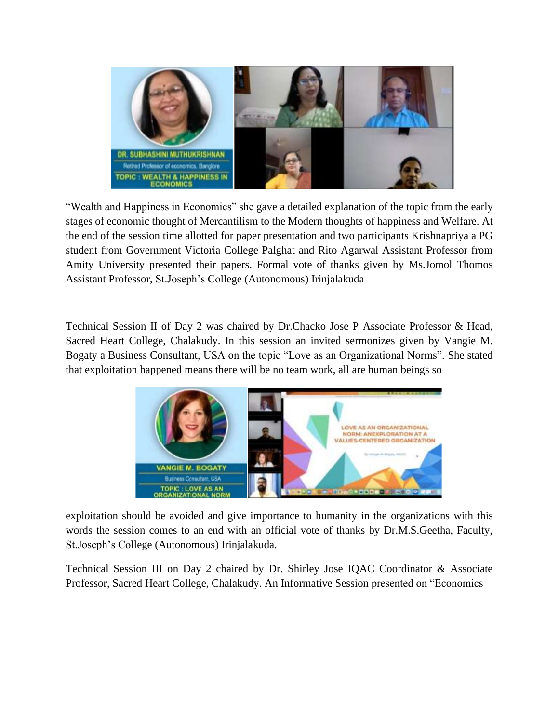

"Wealth and Happiness in Economics" she gave a detailed explanation of the topic from the early stages of economic thought of Mercantilism to the Modern thoughts of happiness and Welfare. At the end of the session time allotted for paper presentation and two participants Krishnapriya a PG student from Government Victoria College Palghat and Rito Agarwal Assistant Professor from Amity University presented their papers. Formal vote of thanks given by Ms.Jomol Thomos Assistant Professor, St.Joseph's College (Autonomous) Irinjalakuda

Technical Session II of Day 2 was chaired by Dr.Chacko Jose P Associate Professor & Head, Sacred Heart College, Chalakudy. In this session an invited sermonizes given by Vangie M. Bogaty a Business Consultant, USA on the topic "Love as an Organizational Norms". She stated that exploitation happened means there will be no team work, all are human beings so



exploitation should be avoided and give importance to humanity in the organizations with this words the session comes to an end with an official vote of thanks by Dr.M.S.Geetha, Faculty, St.Joseph's College (Autonomous) Irinjalakuda.

Technical Session III on Day 2 chaired by Dr. Shirley Jose IQAC Coordinator & Associate Professor, Sacred Heart College, Chalakudy. An Informative Session presented on "Economics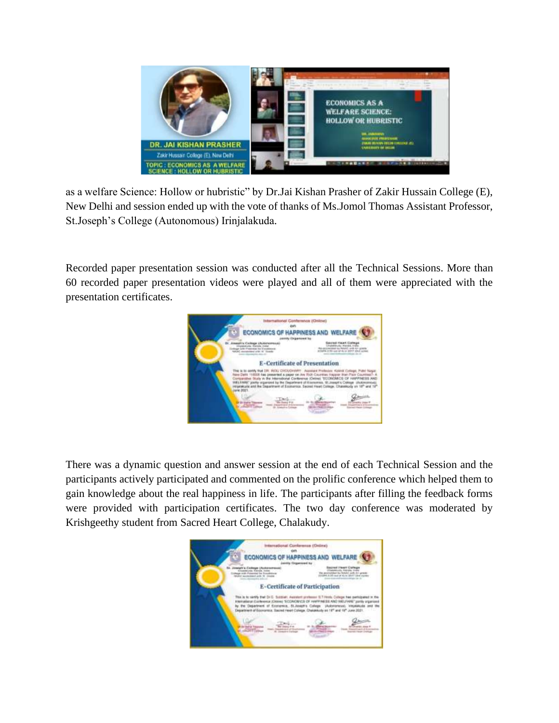

as a welfare Science: Hollow or hubristic" by Dr.Jai Kishan Prasher of Zakir Hussain College (E), New Delhi and session ended up with the vote of thanks of Ms.Jomol Thomas Assistant Professor, St.Joseph's College (Autonomous) Irinjalakuda.

Recorded paper presentation session was conducted after all the Technical Sessions. More than 60 recorded paper presentation videos were played and all of them were appreciated with the presentation certificates.



There was a dynamic question and answer session at the end of each Technical Session and the participants actively participated and commented on the prolific conference which helped them to gain knowledge about the real happiness in life. The participants after filling the feedback forms were provided with participation certificates. The two day conference was moderated by Krishgeethy student from Sacred Heart College, Chalakudy.